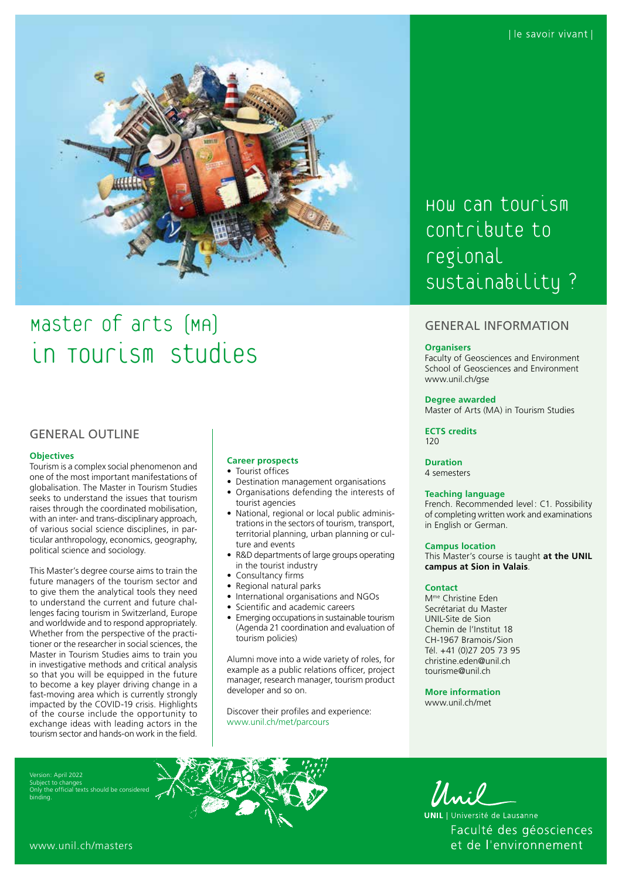

# Master of arts (MA) in Tourism Studies

# GENERAL OUTLINE

#### **Objectives**

Tourism is a complex social phenomenon and one of the most important manifestations of globalisation. The Master in Tourism Studies seeks to understand the issues that tourism raises through the coordinated mobilisation, with an inter- and trans-disciplinary approach, of various social science disciplines, in particular anthropology, economics, geography, political science and sociology.

This Master's degree course aims to train the future managers of the tourism sector and to give them the analytical tools they need to understand the current and future challenges facing tourism in Switzerland, Europe and worldwide and to respond appropriately. Whether from the perspective of the practitioner or the researcher in social sciences, the Master in Tourism Studies aims to train you in investigative methods and critical analysis so that you will be equipped in the future to become a key player driving change in a fast-moving area which is currently strongly impacted by the COVID-19 crisis. Highlights of the course include the opportunity to exchange ideas with leading actors in the tourism sector and hands-on work in the field.

# **Career prospects**

- Tourist offices
- Destination management organisations
- Organisations defending the interests of tourist agencies
- National, regional or local public administrations in the sectors of tourism, transport, territorial planning, urban planning or culture and events
- R&D departments of large groups operating in the tourist industry
- Consultancy firms
- Regional natural parks
- International organisations and NGOs
- Scientific and academic careers
- Emerging occupations in sustainable tourism (Agenda 21 coordination and evaluation of tourism policies)

Alumni move into a wide variety of roles, for example as a public relations officer, project manager, research manager, tourism product developer and so on.

Discover their profiles and experience: [www.unil.ch/met/parcours](http://www.unil.ch/met/parcours)

HOW Can tourism contribute to regional sustainability?

# GENERAL INFORMATION

#### **Organisers**

Faculty of Geosciences and Environment School of Geosciences and Environment [www.unil.ch/gse](http://www.unil.ch/gse)

#### **Degree awarded**

Master of Arts (MA) in Tourism Studies

**ECTS credits**  $120$ 

**Duration** 4 semesters

#### **Teaching language**

French. Recommended level: C1. Possibility of completing written work and examinations in English or German.

#### **Campus location**

This Master's course is taught **at the UNIL campus at Sion in Valais**.

#### **Contact**

Mme Christine Eden Secrétariat du Master UNIL-Site de Sion Chemin de l'Institut 18 CH-1967 Bramois/Sion Tél. +41 (0)27 205 73 95 [christine.eden@unil.ch](mailto:christine.eden@unil.ch) [tourisme@unil.ch](mailto:tourisme@unil.ch)

**More information** [www.unil.ch/met](http://www.unil.ch/met)

Version: April 2022 Subject to change the official texts should be considered binding.



Unil -

**UNIL** | Université de Lausanne Faculté des géosciences et de l'environnement